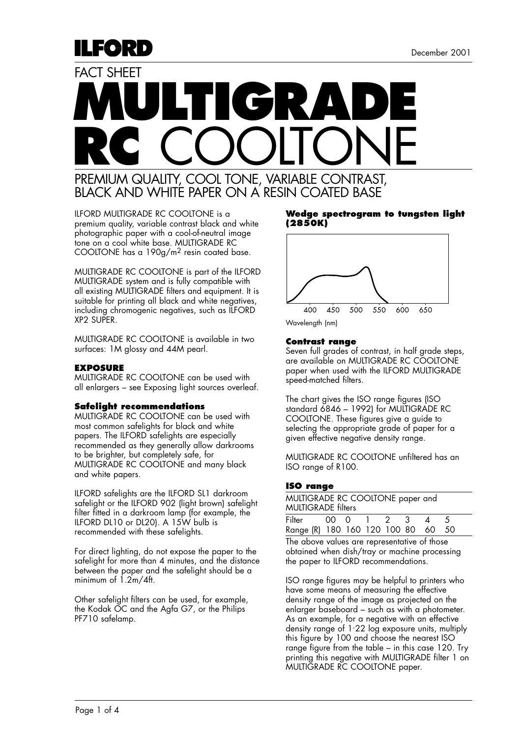# **MULTIGRADE RC** COOLTONE FACT SHEFT PREMIUM QUALITY, COOL TONE, VARIABLE CONTRAST,

BLACK AND WHITE PAPER ON A RESIN COATED BASE

ILFORD MULTIGRADE RC COOLTONE is a premium quality, variable contrast black and white photographic paper with a cool-of-neutral image tone on a cool white base. MULTIGRADE RC COOLTONE has a 190g/m2 resin coated base.

MULTIGRADE RC COOLTONE is part of the ILFORD MULTIGRADE system and is fully compatible with all existing MULTIGRADE filters and equipment. It is suitable for printing all black and white negatives, including chromogenic negatives, such as ILFORD XP2 SUPER.

MULTIGRADE RC COOLTONE is available in two surfaces: 1M glossy and 44M pearl.

#### **EXPOSURE**

ILEORD

MULTIGRADE RC COOLTONE can be used with all enlargers – see Exposing light sources overleaf.

#### **Safelight recommendations**

MULTIGRADE RC COOLTONE can be used with most common safelights for black and white papers. The ILFORD safelights are especially recommended as they generally allow darkrooms to be brighter, but completely safe, for MULTIGRADE RC COOLTONE and many black and white papers.

ILFORD safelights are the ILFORD SL1 darkroom safelight or the ILFORD 902 (light brown) safelight filter fitted in a darkroom lamp (for example, the ILFORD DL10 or DL20). A 15W bulb is recommended with these safelights.

For direct lighting, do not expose the paper to the safelight for more than 4 minutes, and the distance between the paper and the safelight should be a minimum of 1.2m/4ft.

Other safelight filters can be used, for example, the Kodak OC and the Agfa G7, or the Philips PF710 safelamp.

#### **Wedge spectrogram to tungsten light (2850K)**



#### **Contrast range**

Seven full grades of contrast, in half grade steps, are available on MULTIGRADE RC COOLTONE paper when used with the ILFORD MULTIGRADE speed-matched filters.

The chart gives the ISO range figures (ISO standard 6846 – 1992) for MULTIGRADE RC COOLTONE. These figures give a guide to selecting the appropriate grade of paper for a given effective negative density range.

MULTIGRADE RC COOLTONE unfiltered has an ISO range of R100.

# **ISO range**

| MULTIGRADE RC COOLTONE paper and<br><b>MULTIGRADE filters</b> |  |  |  |  |  |                |  |
|---------------------------------------------------------------|--|--|--|--|--|----------------|--|
| Filter 00 0 1 2 3                                             |  |  |  |  |  | $\overline{4}$ |  |
| Range (R) 180 160 120 100 80 60 50                            |  |  |  |  |  |                |  |

The above values are representative of those obtained when dish/tray or machine processing the paper to ILFORD recommendations.

ISO range figures may be helpful to printers who have some means of measuring the effective density range of the image as projected on the enlarger baseboard – such as with a photometer. As an example, for a negative with an effective density range of 1. 22 log exposure units, multiply this figure by 100 and choose the nearest ISO range figure from the table – in this case 120. Try printing this negative with MULTIGRADE filter 1 on MULTIGRADE RC COOLTONE paper.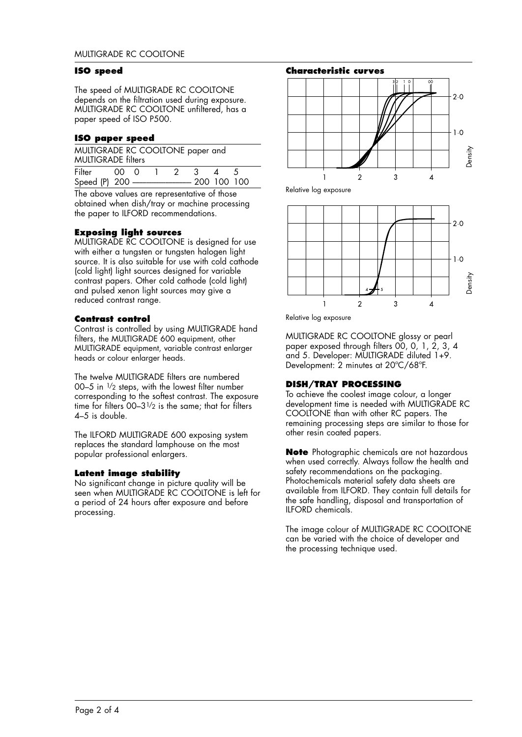#### **ISO speed**

The speed of MULTIGRADE RC COOLTONE depends on the filtration used during exposure. MULTIGRADE RC COOLTONE unfiltered, has a paper speed of ISO P500.

# **ISO paper speed**

| MULTIGRADE RC COOLTONE paper and<br><b>MULTIGRADE filters</b> |  |  |  |  |  |                    |  |
|---------------------------------------------------------------|--|--|--|--|--|--------------------|--|
| Filter 00 0 1 2 3                                             |  |  |  |  |  | $\mathbf{\Lambda}$ |  |
|                                                               |  |  |  |  |  |                    |  |

The above values are representative of those obtained when dish/tray or machine processing the paper to ILFORD recommendations.

# **Exposing light sources**

MULTIGRADE RC COOLTONE is designed for use with either a tungsten or tungsten halogen light source. It is also suitable for use with cold cathode (cold light) light sources designed for variable contrast papers. Other cold cathode (cold light) and pulsed xenon light sources may give a reduced contrast range.

# **Contrast control**

Contrast is controlled by using MULTIGRADE hand filters, the MULTIGRADE 600 equipment, other MULTIGRADE equipment, variable contrast enlarger heads or colour enlarger heads.

The twelve MULTIGRADE filters are numbered 00–5 in  $\frac{1}{2}$  steps, with the lowest filter number corresponding to the softest contrast. The exposure time for filters  $00-3^{1/2}$  is the same; that for filters 4–5 is double.

The ILFORD MULTIGRADE 600 exposing system replaces the standard lamphouse on the most popular professional enlargers.

# **Latent image stability**

No significant change in picture quality will be seen when MULTIGRADE RC COOLTONE is left for a period of 24 hours after exposure and before processing.



Relative log exposure



Relative log exposure

MULTIGRADE RC COOLTONE glossy or pearl paper exposed through filters 00, 0, 1, 2, 3, 4 and 5. Developer: MULTIGRADE diluted 1+9. Development: 2 minutes at 20ºC/68ºF.

# **DISH/TRAY PROCESSING**

To achieve the coolest image colour, a longer development time is needed with MULTIGRADE RC COOLTONE than with other RC papers. The remaining processing steps are similar to those for other resin coated papers.

**Note** Photographic chemicals are not hazardous when used correctly. Always follow the health and safety recommendations on the packaging. Photochemicals material safety data sheets are available from ILFORD. They contain full details for the safe handling, disposal and transportation of ILFORD chemicals.

The image colour of MULTIGRADE RC COOLTONE can be varied with the choice of developer and the processing technique used.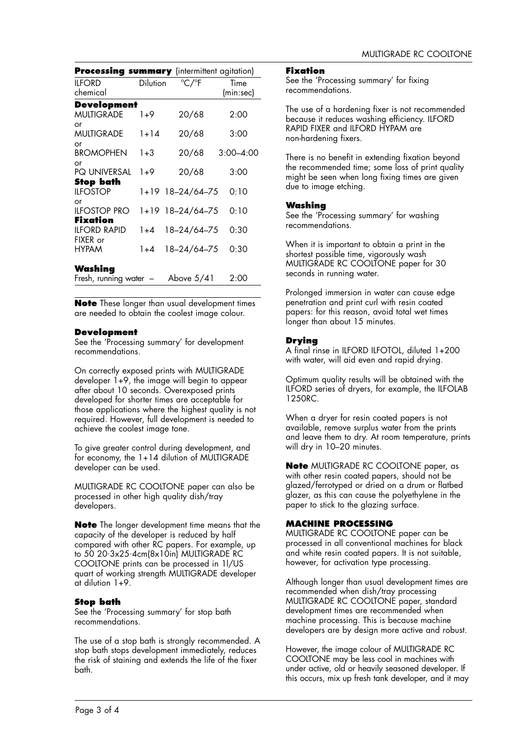| Processing summary (intermittent agitation) |          |                  |                   |
|---------------------------------------------|----------|------------------|-------------------|
| ILFORD<br>chemical                          | Dilution | °C/°F            | Time<br>(min:sec) |
| Development                                 |          |                  |                   |
| <b>MULTIGRADE</b>                           | $1+9$    | 20/68            | 2:00              |
| or<br>MULTIGRADE                            | 1+14     | 20/68            | 3:00              |
| or<br>BROMOPHEN                             | $1 + 3$  | 20/68            | $3:00 - 4:00$     |
| or<br><b>PQ UNIVERSAL</b>                   | $1+9$    | 20/68            | 3:00              |
| Stop bath<br><b>II FOSTOP</b>               |          | 1+19 18-24/64-75 | 0:10              |
| or<br>ilfostop pro                          |          | 1+19 18-24/64-75 | 0:10              |
| Fixation<br>ilford Rapid                    | $1 + 4$  | 18-24/64-75      | 0:30              |
| FIXER or<br><b>HYPAM</b>                    | $1 + 4$  | 18–24/64–75      | 0:30              |
| Washing<br>Fresh, running water             |          | Above $5/41$     | 2.00              |

**Note** These longer than usual development times are needed to obtain the coolest image colour.

# **Development**

See the 'Processing summary' for development recommendations.

On correctly exposed prints with MULTIGRADE developer 1+9, the image will begin to appear after about 10 seconds. Overexposed prints developed for shorter times are acceptable for those applications where the highest quality is not required. However, full development is needed to achieve the coolest image tone.

To give greater control during development, and for economy, the 1+14 dilution of MULTIGRADE developer can be used.

MULTIGRADE RC COOLTONE paper can also be processed in other high quality dish/tray developers.

**Note** The longer development time means that the capacity of the developer is reduced by half compared with other RC papers. For example, up to 50 20·3x25·4cm(8x10in) MULTIGRADE RC COOLTONE prints can be processed in 1l/US quart of working strength MULTIGRADE developer at dilution 1+9.

# **Stop bath**

See the 'Processing summary' for stop bath recommendations.

The use of a stop bath is strongly recommended. A stop bath stops development immediately, reduces the risk of staining and extends the life of the fixer bath.

#### **Fixation**

See the 'Processing summary' for fixing recommendations.

The use of a hardening fixer is not recommended because it reduces washing efficiency. ILFORD RAPID FIXER and ILFORD HYPAM are non-hardening fixers.

There is no benefit in extending fixation beyond the recommended time; some loss of print quality might be seen when long fixing times are given due to image etching.

# **Washing**

See the 'Processing summary' for washing recommendations.

When it is important to obtain a print in the shortest possible time, vigorously wash MULTIGRADE RC COOLTONE paper for 30 seconds in running water.

Prolonged immersion in water can cause edge penetration and print curl with resin coated papers: for this reason, avoid total wet times longer than about 15 minutes.

# **Drying**

A final rinse in ILFORD ILFOTOL, diluted 1+200 with water, will aid even and rapid drying.

Optimum quality results will be obtained with the ILFORD series of dryers, for example, the ILFOLAB 1250RC.

When a dryer for resin coated papers is not available, remove surplus water from the prints and leave them to dry. At room temperature, prints will dry in 10–20 minutes.

**Note** MULTIGRADE RC COOLTONE paper, as with other resin coated papers, should not be glazed/ferrotyped or dried on a drum or flatbed glazer, as this can cause the polyethylene in the paper to stick to the glazing surface.

# **MACHINE PROCESSING**

MULTIGRADE RC COOLTONE paper can be processed in all conventional machines for black and white resin coated papers. It is not suitable, however, for activation type processing.

Although longer than usual development times are recommended when dish/tray processing MULTIGRADE RC COOLTONE paper, standard development times are recommended when machine processing. This is because machine developers are by design more active and robust.

However, the image colour of MULTIGRADE RC COOLTONE may be less cool in machines with under active, old or heavily seasoned developer. If this occurs, mix up fresh tank developer, and it may